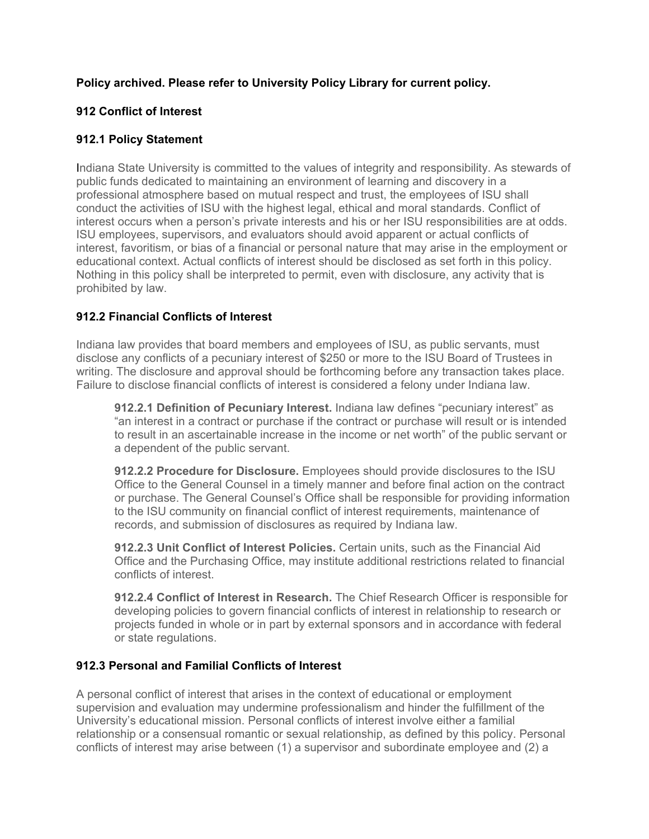## **Policy archived. Please refer to University Policy Library for current policy.**

## **912 Conflict of Interest**

## **912.1 Policy Statement**

Indiana State University is committed to the values of integrity and responsibility. As stewards of public funds dedicated to maintaining an environment of learning and discovery in a professional atmosphere based on mutual respect and trust, the employees of ISU shall conduct the activities of ISU with the highest legal, ethical and moral standards. Conflict of interest occurs when a person's private interests and his or her ISU responsibilities are at odds. ISU employees, supervisors, and evaluators should avoid apparent or actual conflicts of interest, favoritism, or bias of a financial or personal nature that may arise in the employment or educational context. Actual conflicts of interest should be disclosed as set forth in this policy. Nothing in this policy shall be interpreted to permit, even with disclosure, any activity that is prohibited by law.

# **912.2 Financial Conflicts of Interest**

Indiana law provides that board members and employees of ISU, as public servants, must disclose any conflicts of a pecuniary interest of \$250 or more to the ISU Board of Trustees in writing. The disclosure and approval should be forthcoming before any transaction takes place. Failure to disclose financial conflicts of interest is considered a felony under Indiana law.

**912.2.1 Definition of Pecuniary Interest.** Indiana law defines "pecuniary interest" as "an interest in a contract or purchase if the contract or purchase will result or is intended to result in an ascertainable increase in the income or net worth" of the public servant or a dependent of the public servant.

**912.2.2 Procedure for Disclosure.** Employees should provide disclosures to the ISU Office to the General Counsel in a timely manner and before final action on the contract or purchase. The General Counsel's Office shall be responsible for providing information to the ISU community on financial conflict of interest requirements, maintenance of records, and submission of disclosures as required by Indiana law.

**912.2.3 Unit Conflict of Interest Policies.** Certain units, such as the Financial Aid Office and the Purchasing Office, may institute additional restrictions related to financial conflicts of interest.

**912.2.4 Conflict of Interest in Research.** The Chief Research Officer is responsible for developing policies to govern financial conflicts of interest in relationship to research or projects funded in whole or in part by external sponsors and in accordance with federal or state regulations.

#### **912.3 Personal and Familial Conflicts of Interest**

A personal conflict of interest that arises in the context of educational or employment supervision and evaluation may undermine professionalism and hinder the fulfillment of the University's educational mission. Personal conflicts of interest involve either a familial relationship or a consensual romantic or sexual relationship, as defined by this policy. Personal conflicts of interest may arise between (1) a supervisor and subordinate employee and (2) a